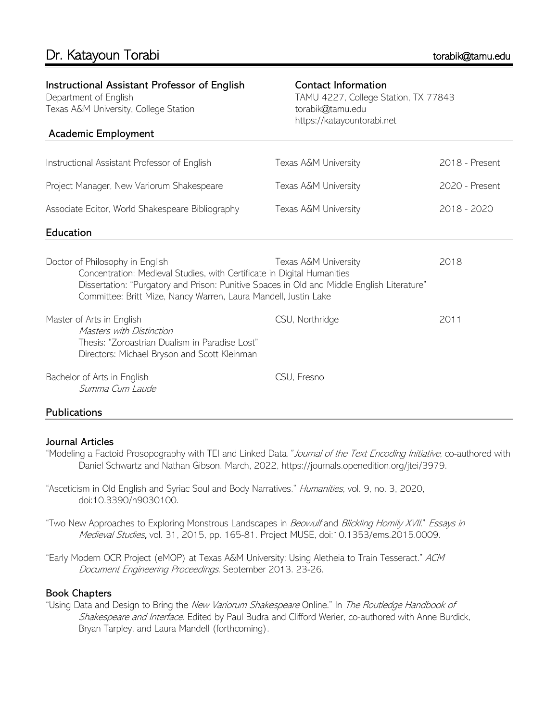Instructional Assistant Professor of English

| Department of English<br>Texas A&M University, College Station                                                                                                                                                                                                              | TAMU 4227, College Station, TX 77843<br>torabik@tamu.edu<br>https://katayountorabi.net |                |  |
|-----------------------------------------------------------------------------------------------------------------------------------------------------------------------------------------------------------------------------------------------------------------------------|----------------------------------------------------------------------------------------|----------------|--|
| Academic Employment                                                                                                                                                                                                                                                         |                                                                                        |                |  |
| Instructional Assistant Professor of English                                                                                                                                                                                                                                | Texas A&M University                                                                   | 2018 - Present |  |
| Project Manager, New Variorum Shakespeare                                                                                                                                                                                                                                   | Texas A&M University                                                                   | 2020 - Present |  |
| Associate Editor, World Shakespeare Bibliography                                                                                                                                                                                                                            | Texas A&M University                                                                   | 2018 - 2020    |  |
| Education                                                                                                                                                                                                                                                                   |                                                                                        |                |  |
| Doctor of Philosophy in English<br>Concentration: Medieval Studies, with Certificate in Digital Humanities<br>Dissertation: "Purgatory and Prison: Punitive Spaces in Old and Middle English Literature"<br>Committee: Britt Mize, Nancy Warren, Laura Mandell, Justin Lake | Texas A&M University                                                                   | 2018           |  |
| Master of Arts in English<br>Masters with Distinction<br>Thesis: "Zoroastrian Dualism in Paradise Lost"<br>Directors: Michael Bryson and Scott Kleinman                                                                                                                     | CSU, Northridge                                                                        | 2011           |  |
| Bachelor of Arts in English<br>Summa Cum Laude                                                                                                                                                                                                                              | CSU, Fresno                                                                            |                |  |

Contact Information

# **Publications**

### Journal Articles

- "Modeling a Factoid Prosopography with TEI and Linked Data." Journal of the Text Encoding Initiative, co-authored with Daniel Schwartz and Nathan Gibson. March, 2022, https://journals.openedition.org/jtei/3979.
- "Asceticism in Old English and Syriac Soul and Body Narratives." Humanities, vol. 9, no. 3, 2020, doi:10.3390/h9030100.
- "Two New Approaches to Exploring Monstrous Landscapes in Beowulf and Blickling Homily XVII." Essays in Medieval Studies, vol. 31, 2015, pp. 165-81. Project MUSE, doi:10.1353/ems.2015.0009.
- "Early Modern OCR Project (eMOP) at Texas A&M University: Using Aletheia to Train Tesseract." ACM Document Engineering Proceedings. September 2013. 23-26.

### Book Chapters

"Using Data and Design to Bring the New Variorum Shakespeare Online." In The Routledge Handbook of Shakespeare and Interface. Edited by Paul Budra and Clifford Werier, co-authored with Anne Burdick, Bryan Tarpley, and Laura Mandell (forthcoming).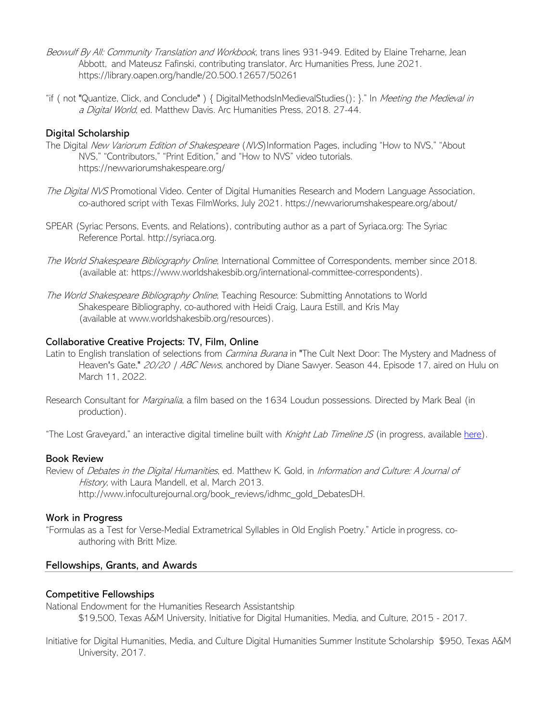- Beowulf By All: Community Translation and Workbook, trans lines 931-949. Edited by Elaine Treharne, Jean Abbott, and Mateusz Fafinski, contributing translator, Arc Humanities Press, June 2021. https://library.oapen.org/handle/20.500.12657/50261
- "if ( not "Quantize, Click, and Conclude") { DigitalMethodsInMedievalStudies(); }." In Meeting the Medieval in a Digital World, ed. Matthew Davis. Arc Humanities Press, 2018. 27-44.

### Digital Scholarship

- The Digital New Variorum Edition of Shakespeare (NVS) Information Pages, including "How to NVS," "About NVS," "Contributors," "Print Edition," and "How to NVS" video tutorials. https://newvariorumshakespeare.org/
- The Digital NVS Promotional Video. Center of Digital Humanities Research and Modern Language Association, co-authored script with Texas FilmWorks, July 2021. https://newvariorumshakespeare.org/about/
- SPEAR (Syriac Persons, Events, and Relations), contributing author as a part of Syriaca.org: The Syriac Reference Portal. http://syriaca.org.
- The World Shakespeare Bibliography Online, International Committee of Correspondents, member since 2018. (available at: https://www.worldshakesbib.org/international-committee-correspondents).
- The World Shakespeare Bibliography Online, Teaching Resource: Submitting Annotations to World Shakespeare Bibliography, co-authored with Heidi Craig, Laura Estill, and Kris May (available at www.worldshakesbib.org/resources).

### Collaborative Creative Projects: TV, Film, Online

- Latin to English translation of selections from *Carmina Burana* in "The Cult Next Door: The Mystery and Madness of Heaven's Gate," 20/20 | ABC News, anchored by Diane Sawyer. Season 44, Episode 17, aired on Hulu on March 11, 2022.
- Research Consultant for Marginalia, a film based on the 1634 Loudun possessions. Directed by Mark Beal (in production).

"The Lost Graveyard," an interactive digital timeline built with Knight Lab Timeline JS (in progress, available here).

#### Book Review

Review of Debates in the Digital Humanities, ed. Matthew K. Gold, in Information and Culture: A Journal of History, with Laura Mandell, et al, March 2013. http://www.infoculturejournal.org/book\_reviews/idhmc\_gold\_DebatesDH.

#### Work in Progress

"Formulas as a Test for Verse-Medial Extrametrical Syllables in Old English Poetry." Article in progress, coauthoring with Britt Mize.

### Fellowships, Grants, and Awards

#### Competitive Fellowships

National Endowment for the Humanities Research Assistantship \$19,500, Texas A&M University, Initiative for Digital Humanities, Media, and Culture, 2015 - 2017.

Initiative for Digital Humanities, Media, and Culture Digital Humanities Summer Institute Scholarship \$950, Texas A&M University, 2017.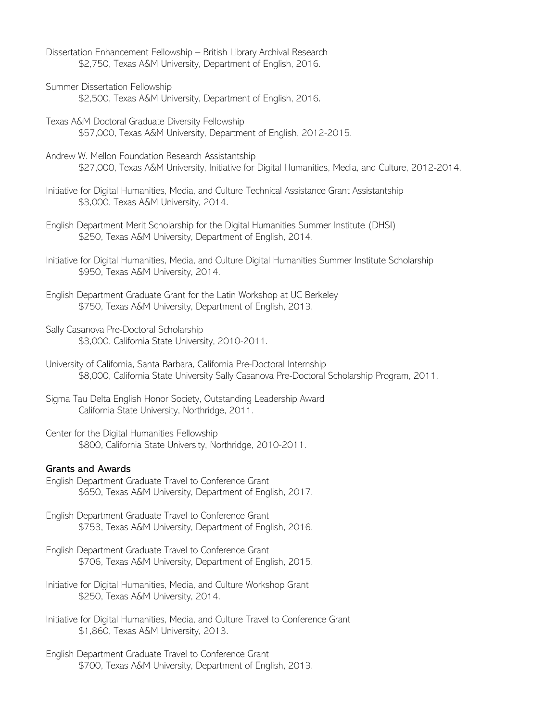- Dissertation Enhancement Fellowship British Library Archival Research \$2,750, Texas A&M University, Department of English, 2016.
- Summer Dissertation Fellowship \$2,500, Texas A&M University, Department of English, 2016.
- Texas A&M Doctoral Graduate Diversity Fellowship \$57,000, Texas A&M University, Department of English, 2012-2015.
- Andrew W. Mellon Foundation Research Assistantship \$27,000, Texas A&M University, Initiative for Digital Humanities, Media, and Culture, 2012-2014.
- Initiative for Digital Humanities, Media, and Culture Technical Assistance Grant Assistantship \$3,000, Texas A&M University, 2014.
- English Department Merit Scholarship for the Digital Humanities Summer Institute (DHSI) \$250, Texas A&M University, Department of English, 2014.
- Initiative for Digital Humanities, Media, and Culture Digital Humanities Summer Institute Scholarship \$950, Texas A&M University, 2014.
- English Department Graduate Grant for the Latin Workshop at UC Berkeley \$750, Texas A&M University, Department of English, 2013.
- Sally Casanova Pre-Doctoral Scholarship \$3,000, California State University, 2010-2011.
- University of California, Santa Barbara, California Pre-Doctoral Internship \$8,000, California State University Sally Casanova Pre-Doctoral Scholarship Program, 2011.
- Sigma Tau Delta English Honor Society, Outstanding Leadership Award California State University, Northridge, 2011.
- Center for the Digital Humanities Fellowship \$800, California State University, Northridge, 2010-2011.

#### Grants and Awards

- English Department Graduate Travel to Conference Grant \$650, Texas A&M University, Department of English, 2017.
- English Department Graduate Travel to Conference Grant \$753, Texas A&M University, Department of English, 2016.
- English Department Graduate Travel to Conference Grant \$706, Texas A&M University, Department of English, 2015.
- Initiative for Digital Humanities, Media, and Culture Workshop Grant \$250, Texas A&M University, 2014.
- Initiative for Digital Humanities, Media, and Culture Travel to Conference Grant \$1,860, Texas A&M University, 2013.
- English Department Graduate Travel to Conference Grant \$700, Texas A&M University, Department of English, 2013.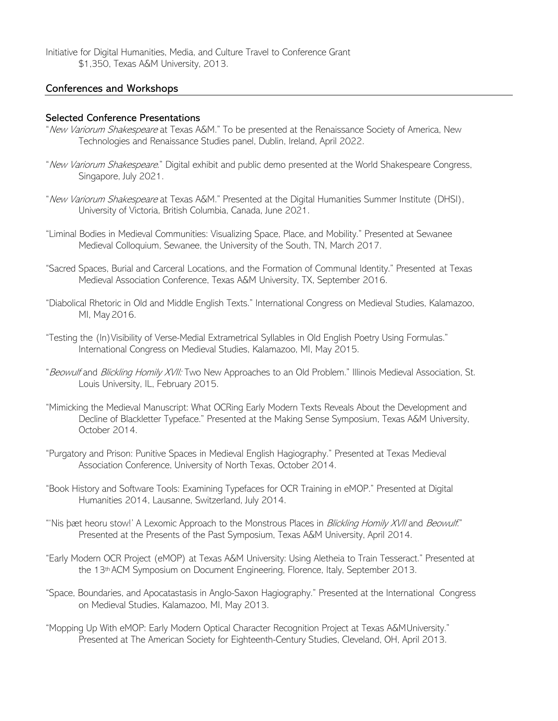Initiative for Digital Humanities, Media, and Culture Travel to Conference Grant \$1,350, Texas A&M University, 2013.

#### Conferences and Workshops

#### Selected Conference Presentations

- "New Variorum Shakespeare at Texas A&M." To be presented at the Renaissance Society of America, New Technologies and Renaissance Studies panel, Dublin, Ireland, April 2022.
- "New Variorum Shakespeare." Digital exhibit and public demo presented at the World Shakespeare Congress, Singapore, July 2021.
- "New Variorum Shakespeare at Texas A&M." Presented at the Digital Humanities Summer Institute (DHSI), University of Victoria, British Columbia, Canada, June 2021.
- "Liminal Bodies in Medieval Communities: Visualizing Space, Place, and Mobility." Presented at Sewanee Medieval Colloquium, Sewanee, the University of the South, TN, March 2017.
- "Sacred Spaces, Burial and Carceral Locations, and the Formation of Communal Identity." Presented at Texas Medieval Association Conference, Texas A&M University, TX, September 2016.
- "Diabolical Rhetoric in Old and Middle English Texts." International Congress on Medieval Studies, Kalamazoo, MI, May 2016.
- "Testing the (In)Visibility of Verse-Medial Extrametrical Syllables in Old English Poetry Using Formulas." International Congress on Medieval Studies, Kalamazoo, MI, May 2015.
- "Beowulf and Blickling Homily XVII: Two New Approaches to an Old Problem." Illinois Medieval Association, St. Louis University, IL, February 2015.
- "Mimicking the Medieval Manuscript: What OCRing Early Modern Texts Reveals About the Development and Decline of Blackletter Typeface." Presented at the Making Sense Symposium, Texas A&M University, October 2014.
- "Purgatory and Prison: Punitive Spaces in Medieval English Hagiography." Presented at Texas Medieval Association Conference, University of North Texas, October 2014.
- "Book History and Software Tools: Examining Typefaces for OCR Training in eMOP." Presented at Digital Humanities 2014, Lausanne, Switzerland, July 2014.
- "'Nis þæt heoru stow!' A Lexomic Approach to the Monstrous Places in Blickling Homily XVII and Beowulf." Presented at the Presents of the Past Symposium, Texas A&M University, April 2014.
- "Early Modern OCR Project (eMOP) at Texas A&M University: Using Aletheia to Train Tesseract." Presented at the 13th ACM Symposium on Document Engineering, Florence, Italy, September 2013.
- "Space, Boundaries, and Apocatastasis in Anglo-Saxon Hagiography." Presented at the International Congress on Medieval Studies, Kalamazoo, MI, May 2013.
- "Mopping Up With eMOP: Early Modern Optical Character Recognition Project at Texas A&MUniversity." Presented at The American Society for Eighteenth-Century Studies, Cleveland, OH, April 2013.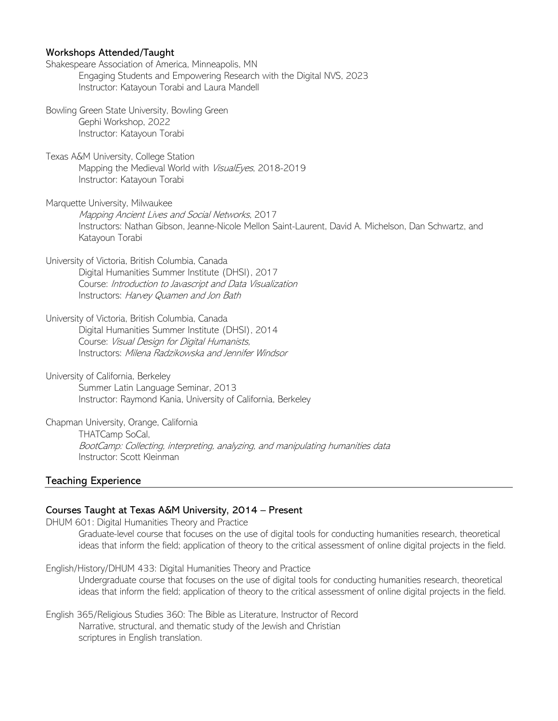### Workshops Attended/Taught

| Shakespeare Association of America, Minneapolis, MN<br>Engaging Students and Empowering Research with the Digital NVS, 2023<br>Instructor: Katayoun Torabi and Laura Mandell                                   |
|----------------------------------------------------------------------------------------------------------------------------------------------------------------------------------------------------------------|
| Bowling Green State University, Bowling Green<br>Gephi Workshop, 2022<br>Instructor: Katayoun Torabi                                                                                                           |
| Texas A&M University, College Station<br>Mapping the Medieval World with VisualEyes, 2018-2019<br>Instructor: Katayoun Torabi                                                                                  |
| Marquette University, Milwaukee<br>Mapping Ancient Lives and Social Networks, 2017<br>Instructors: Nathan Gibson, Jeanne-Nicole Mellon Saint-Laurent, David A. Michelson, Dan Schwartz, and<br>Katayoun Torabi |
| University of Victoria, British Columbia, Canada<br>Digital Humanities Summer Institute (DHSI), 2017<br>Course: Introduction to Javascript and Data Visualization<br>Instructors: Harvey Quamen and Jon Bath   |
| University of Victoria, British Columbia, Canada<br>Digital Humanities Summer Institute (DHSI), 2014<br>Course: Visual Design for Digital Humanists,<br>Instructors: Milena Radzikowska and Jennifer Windsor   |
| University of California, Berkeley<br>Summer Latin Language Seminar, 2013<br>Instructor: Raymond Kania, University of California, Berkeley                                                                     |
| Chapman University, Orange, California<br>THATCamp SoCal,<br>BootCamp: Collecting, interpreting, analyzing, and manipulating humanities data<br>Instructor: Scott Kleinman                                     |

### Teaching Experience

#### Courses Taught at Texas A&M University, 2014 – Present

DHUM 601: Digital Humanities Theory and Practice Graduate-level course that focuses on the use of digital tools for conducting humanities research, theoretical ideas that inform the field; application of theory to the critical assessment of online digital projects in the field.

English/History/DHUM 433: Digital Humanities Theory and Practice Undergraduate course that focuses on the use of digital tools for conducting humanities research, theoretical ideas that inform the field; application of theory to the critical assessment of online digital projects in the field.

English 365/Religious Studies 360: The Bible as Literature, Instructor of Record Narrative, structural, and thematic study of the Jewish and Christian scriptures in English translation.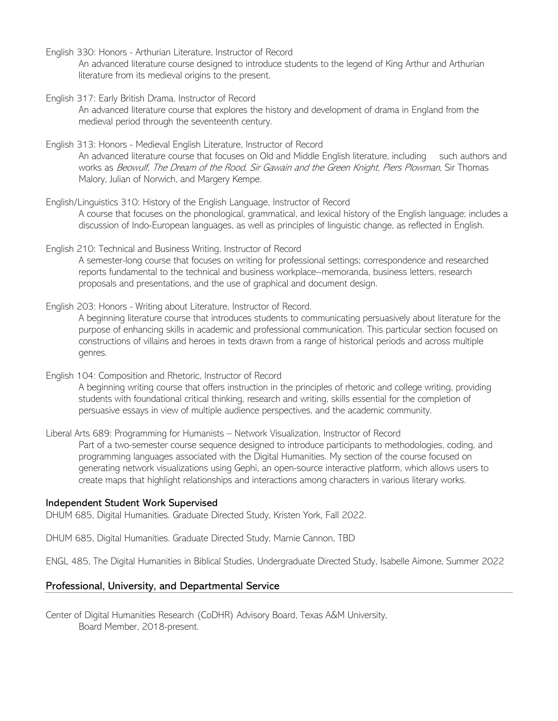- English 330: Honors Arthurian Literature, Instructor of Record An advanced literature course designed to introduce students to the legend of King Arthur and Arthurian literature from its medieval origins to the present.
- English 317: Early British Drama, Instructor of Record

An advanced literature course that explores the history and development of drama in England from the medieval period through the seventeenth century.

- English 313: Honors Medieval English Literature, Instructor of Record An advanced literature course that focuses on Old and Middle English literature, including such authors and works as Beowulf, The Dream of the Rood, Sir Gawain and the Green Knight, Piers Plowman, Sir Thomas Malory, Julian of Norwich, and Margery Kempe.
- English/Linguistics 310: History of the English Language, Instructor of Record A course that focuses on the phonological, grammatical, and lexical history of the English language; includes a discussion of Indo-European languages, as well as principles of linguistic change, as reflected in English.
- English 210: Technical and Business Writing, Instructor of Record A semester-long course that focuses on writing for professional settings; correspondence and researched reports fundamental to the technical and business workplace--memoranda, business letters, research proposals and presentations, and the use of graphical and document design.
- English 203: Honors Writing about Literature, Instructor of Record. A beginning literature course that introduces students to communicating persuasively about literature for the purpose of enhancing skills in academic and professional communication. This particular section focused on constructions of villains and heroes in texts drawn from a range of historical periods and across multiple genres.
- English 104: Composition and Rhetoric, Instructor of Record A beginning writing course that offers instruction in the principles of rhetoric and college writing, providing students with foundational critical thinking, research and writing, skills essential for the completion of persuasive essays in view of multiple audience perspectives, and the academic community.

Liberal Arts 689: Programming for Humanists – Network Visualization, Instructor of Record Part of a two-semester course sequence designed to introduce participants to methodologies, coding, and programming languages associated with the Digital Humanities. My section of the course focused on generating network visualizations using Gephi, an open-source interactive platform, which allows users to create maps that highlight relationships and interactions among characters in various literary works.

### Independent Student Work Supervised

DHUM 685, Digital Humanities. Graduate Directed Study, Kristen York, Fall 2022.

DHUM 685, Digital Humanities. Graduate Directed Study, Marnie Cannon, TBD

ENGL 485, The Digital Humanities in Biblical Studies, Undergraduate Directed Study, Isabelle Aimone, Summer 2022

### Professional, University, and Departmental Service

Center of Digital Humanities Research (CoDHR) Advisory Board, Texas A&M University, Board Member, 2018-present.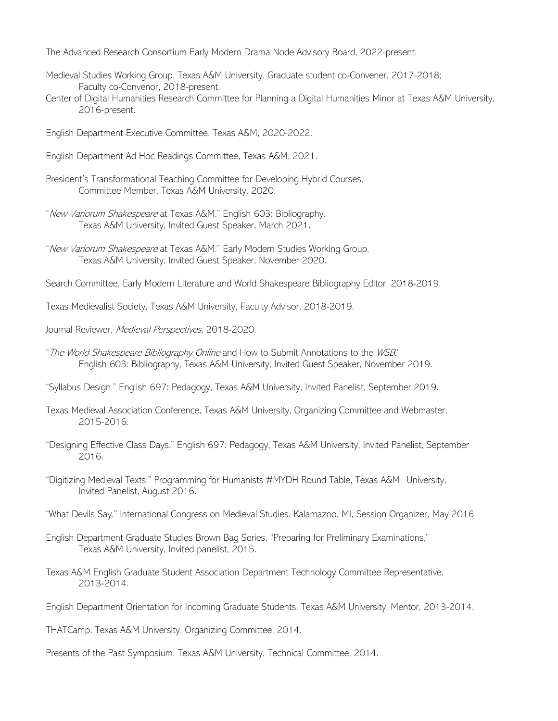The Advanced Research Consortium Early Modern Drama Node Advisory Board, 2022-present.

- Medieval Studies Working Group, Texas A&M University, Graduate student co-Convener, 2017-2018; Faculty co-Convenor, 2018-present.
- Center of Digital Humanities Research Committee for Planning a Digital Humanities Minor at Texas A&M University, 2016-present.
- English Department Executive Committee, Texas A&M, 2020-2022.
- English Department Ad Hoc Readings Committee, Texas A&M, 2021.
- President's Transformational Teaching Committee for Developing Hybrid Courses, Committee Member, Texas A&M University, 2020.
- "New Variorum Shakespeare at Texas A&M." English 603: Bibliography. Texas A&M University, Invited Guest Speaker, March 2021.
- "New Variorum Shakespeare at Texas A&M." Early Modern Studies Working Group. Texas A&M University, Invited Guest Speaker, November 2020.
- Search Committee, Early Modern Literature and World Shakespeare Bibliography Editor, 2018-2019.

Texas Medievalist Society, Texas A&M University, Faculty Advisor, 2018-2019.

- Journal Reviewer, Medieval Perspectives, 2018-2020.
- "The World Shakespeare Bibliography Online and How to Submit Annotations to the WSB." English 603: Bibliography, Texas A&M University, Invited Guest Speaker, November 2019.

"Syllabus Design." English 697: Pedagogy, Texas A&M University, Invited Panelist, September 2019.

- Texas Medieval Association Conference, Texas A&M University, Organizing Committee and Webmaster, 2015-2016.
- "Designing Effective Class Days." English 697: Pedagogy, Texas A&M University, Invited Panelist, September 2016.
- "Digitizing Medieval Texts." Programming for Humanists #MYDH Round Table, Texas A&M University, Invited Panelist, August 2016.
- "What Devils Say." International Congress on Medieval Studies, Kalamazoo, MI, Session Organizer, May 2016.
- English Department Graduate Studies Brown Bag Series, "Preparing for Preliminary Examinations," Texas A&M University, Invited panelist, 2015.
- Texas A&M English Graduate Student Association Department Technology Committee Representative, 2013-2014.
- English Department Orientation for Incoming Graduate Students, Texas A&M University, Mentor, 2013-2014.

THATCamp, Texas A&M University, Organizing Committee, 2014.

Presents of the Past Symposium, Texas A&M University, Technical Committee, 2014.